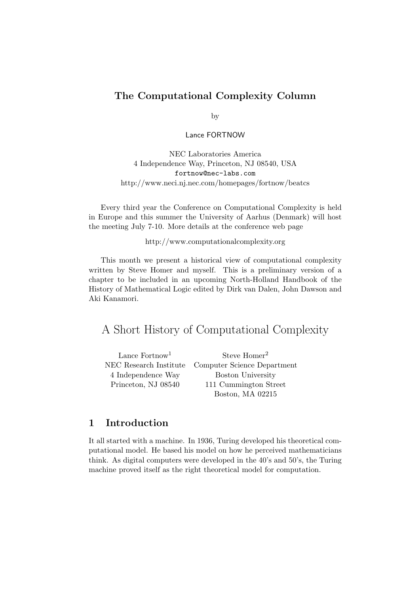# The Computational Complexity Column

by

Lance FORTNOW

NEC Laboratories America 4 Independence Way, Princeton, NJ 08540, USA fortnow@nec-labs.com http://www.neci.nj.nec.com/homepages/fortnow/beatcs

Every third year the Conference on Computational Complexity is held in Europe and this summer the University of Aarhus (Denmark) will host the meeting July 7-10. More details at the conference web page

http://www.computationalcomplexity.org

This month we present a historical view of computational complexity written by Steve Homer and myself. This is a preliminary version of a chapter to be included in an upcoming North-Holland Handbook of the History of Mathematical Logic edited by Dirk van Dalen, John Dawson and Aki Kanamori.

# A Short History of Computational Complexity

| Lance Fortnow <sup>1</sup> | Steve Homer <sup>2</sup>                           |
|----------------------------|----------------------------------------------------|
|                            | NEC Research Institute Computer Science Department |
| 4 Independence Way         | <b>Boston University</b>                           |
| Princeton, NJ 08540        | 111 Cummington Street                              |
|                            | Boston, MA 02215                                   |

### 1 Introduction

It all started with a machine. In 1936, Turing developed his theoretical computational model. He based his model on how he perceived mathematicians think. As digital computers were developed in the 40's and 50's, the Turing machine proved itself as the right theoretical model for computation.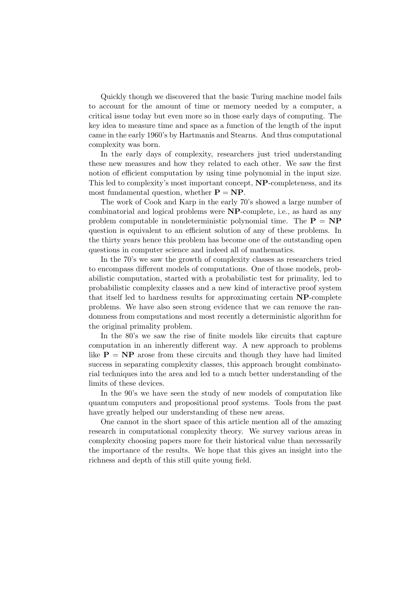Quickly though we discovered that the basic Turing machine model fails to account for the amount of time or memory needed by a computer, a critical issue today but even more so in those early days of computing. The key idea to measure time and space as a function of the length of the input came in the early 1960's by Hartmanis and Stearns. And thus computational complexity was born.

In the early days of complexity, researchers just tried understanding these new measures and how they related to each other. We saw the first notion of efficient computation by using time polynomial in the input size. This led to complexity's most important concept, NP-completeness, and its most fundamental question, whether  $P = NP$ .

The work of Cook and Karp in the early 70's showed a large number of combinatorial and logical problems were NP-complete, i.e., as hard as any problem computable in nondeterministic polynomial time. The  $P = NP$ question is equivalent to an efficient solution of any of these problems. In the thirty years hence this problem has become one of the outstanding open questions in computer science and indeed all of mathematics.

In the 70's we saw the growth of complexity classes as researchers tried to encompass different models of computations. One of those models, probabilistic computation, started with a probabilistic test for primality, led to probabilistic complexity classes and a new kind of interactive proof system that itself led to hardness results for approximating certain NP-complete problems. We have also seen strong evidence that we can remove the randomness from computations and most recently a deterministic algorithm for the original primality problem.

In the 80's we saw the rise of finite models like circuits that capture computation in an inherently different way. A new approach to problems like  $P = NP$  arose from these circuits and though they have had limited success in separating complexity classes, this approach brought combinatorial techniques into the area and led to a much better understanding of the limits of these devices.

In the 90's we have seen the study of new models of computation like quantum computers and propositional proof systems. Tools from the past have greatly helped our understanding of these new areas.

One cannot in the short space of this article mention all of the amazing research in computational complexity theory. We survey various areas in complexity choosing papers more for their historical value than necessarily the importance of the results. We hope that this gives an insight into the richness and depth of this still quite young field.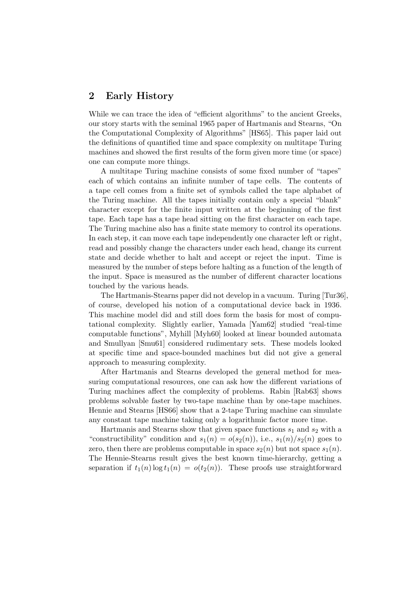### 2 Early History

While we can trace the idea of "efficient algorithms" to the ancient Greeks, our story starts with the seminal 1965 paper of Hartmanis and Stearns, "On the Computational Complexity of Algorithms" [HS65]. This paper laid out the definitions of quantified time and space complexity on multitape Turing machines and showed the first results of the form given more time (or space) one can compute more things.

A multitape Turing machine consists of some fixed number of "tapes" each of which contains an infinite number of tape cells. The contents of a tape cell comes from a finite set of symbols called the tape alphabet of the Turing machine. All the tapes initially contain only a special "blank" character except for the finite input written at the beginning of the first tape. Each tape has a tape head sitting on the first character on each tape. The Turing machine also has a finite state memory to control its operations. In each step, it can move each tape independently one character left or right, read and possibly change the characters under each head, change its current state and decide whether to halt and accept or reject the input. Time is measured by the number of steps before halting as a function of the length of the input. Space is measured as the number of different character locations touched by the various heads.

The Hartmanis-Stearns paper did not develop in a vacuum. Turing [Tur36], of course, developed his notion of a computational device back in 1936. This machine model did and still does form the basis for most of computational complexity. Slightly earlier, Yamada [Yam62] studied "real-time computable functions", Myhill [Myh60] looked at linear bounded automata and Smullyan [Smu61] considered rudimentary sets. These models looked at specific time and space-bounded machines but did not give a general approach to measuring complexity.

After Hartmanis and Stearns developed the general method for measuring computational resources, one can ask how the different variations of Turing machines affect the complexity of problems. Rabin [Rab63] shows problems solvable faster by two-tape machine than by one-tape machines. Hennie and Stearns [HS66] show that a 2-tape Turing machine can simulate any constant tape machine taking only a logarithmic factor more time.

Hartmanis and Stearns show that given space functions  $s_1$  and  $s_2$  with a "constructibility" condition and  $s_1(n) = o(s_2(n))$ , i.e.,  $s_1(n)/s_2(n)$  goes to zero, then there are problems computable in space  $s_2(n)$  but not space  $s_1(n)$ . The Hennie-Stearns result gives the best known time-hierarchy, getting a separation if  $t_1(n) \log t_1(n) = o(t_2(n))$ . These proofs use straightforward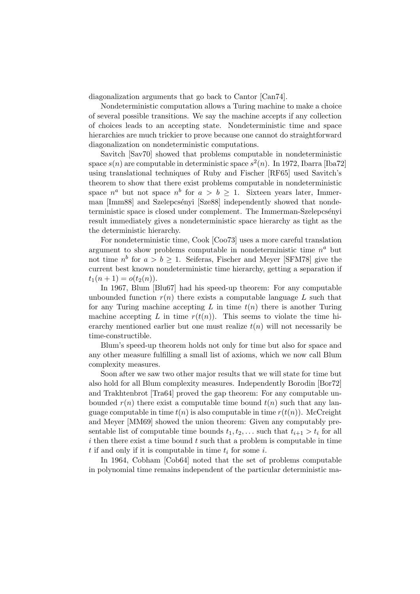diagonalization arguments that go back to Cantor [Can74].

Nondeterministic computation allows a Turing machine to make a choice of several possible transitions. We say the machine accepts if any collection of choices leads to an accepting state. Nondeterministic time and space hierarchies are much trickier to prove because one cannot do straightforward diagonalization on nondeterministic computations.

Savitch [Sav70] showed that problems computable in nondeterministic space  $s(n)$  are computable in deterministic space  $s^2(n)$ . In 1972, Ibarra [Iba72] using translational techniques of Ruby and Fischer [RF65] used Savitch's theorem to show that there exist problems computable in nondeterministic space  $n^a$  but not space  $n^b$  for  $a > b \ge 1$ . Sixteen years later, Immerman [Imm88] and Szelepcsényi [Sze88] independently showed that nondeterministic space is closed under complement. The Immerman-Szelepcsényi result immediately gives a nondeterministic space hierarchy as tight as the the deterministic hierarchy.

For nondeterministic time, Cook [Coo73] uses a more careful translation argument to show problems computable in nondeterministic time  $n^a$  but not time  $n^b$  for  $a > b \ge 1$ . Seiferas, Fischer and Meyer [SFM78] give the current best known nondeterministic time hierarchy, getting a separation if  $t_1(n+1) = o(t_2(n)).$ 

In 1967, Blum [Blu67] had his speed-up theorem: For any computable unbounded function  $r(n)$  there exists a computable language L such that for any Turing machine accepting  $L$  in time  $t(n)$  there is another Turing machine accepting L in time  $r(t(n))$ . This seems to violate the time hierarchy mentioned earlier but one must realize  $t(n)$  will not necessarily be time-constructible.

Blum's speed-up theorem holds not only for time but also for space and any other measure fulfilling a small list of axioms, which we now call Blum complexity measures.

Soon after we saw two other major results that we will state for time but also hold for all Blum complexity measures. Independently Borodin [Bor72] and Trakhtenbrot [Tra64] proved the gap theorem: For any computable unbounded  $r(n)$  there exist a computable time bound  $t(n)$  such that any language computable in time  $t(n)$  is also computable in time  $r(t(n))$ . McCreight and Meyer [MM69] showed the union theorem: Given any computably presentable list of computable time bounds  $t_1, t_2, \ldots$  such that  $t_{i+1} > t_i$  for all  $i$  then there exist a time bound  $t$  such that a problem is computable in time  $t$  if and only if it is computable in time  $t_i$  for some  $i$ .

In 1964, Cobham [Cob64] noted that the set of problems computable in polynomial time remains independent of the particular deterministic ma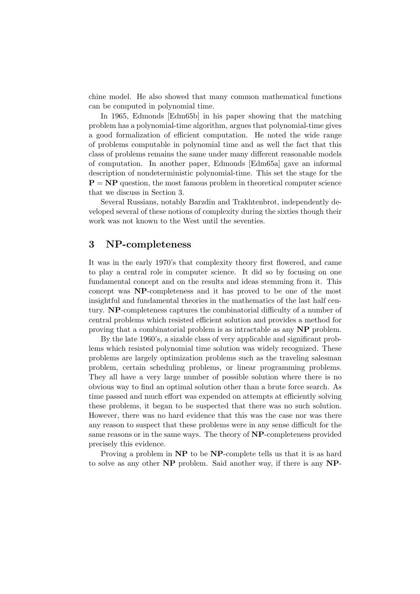chine model. He also showed that many common mathematical functions can be computed in polynomial time.

In 1965, Edmonds [Edm65b] in his paper showing that the matching problem has a polynomial-time algorithm, argues that polynomial-time gives a good formalization of efficient computation. He noted the wide range of problems computable in polynomial time and as well the fact that this class of problems remains the same under many different reasonable models of computation. In another paper, Edmonds [Edm65a] gave an informal description of nondeterministic polynomial-time. This set the stage for the  $P = NP$  question, the most famous problem in theoretical computer science that we discuss in Section 3.

Several Russians, notably Barzdin and Trakhtenbrot, independently developed several of these notions of complexity during the sixties though their work was not known to the West until the seventies.

# 3 NP-completeness

It was in the early 1970's that complexity theory first flowered, and came to play a central role in computer science. It did so by focusing on one fundamental concept and on the results and ideas stemming from it. This concept was NP-completeness and it has proved to be one of the most insightful and fundamental theories in the mathematics of the last half century. NP-completeness captures the combinatorial difficulty of a number of central problems which resisted efficient solution and provides a method for proving that a combinatorial problem is as intractable as any NP problem.

By the late 1960's, a sizable class of very applicable and significant problems which resisted polynomial time solution was widely recognized. These problems are largely optimization problems such as the traveling salesman problem, certain scheduling problems, or linear programming problems. They all have a very large number of possible solution where there is no obvious way to find an optimal solution other than a brute force search. As time passed and much effort was expended on attempts at efficiently solving these problems, it began to be suspected that there was no such solution. However, there was no hard evidence that this was the case nor was there any reason to suspect that these problems were in any sense difficult for the same reasons or in the same ways. The theory of NP-completeness provided precisely this evidence.

Proving a problem in NP to be NP-complete tells us that it is as hard to solve as any other NP problem. Said another way, if there is any NP-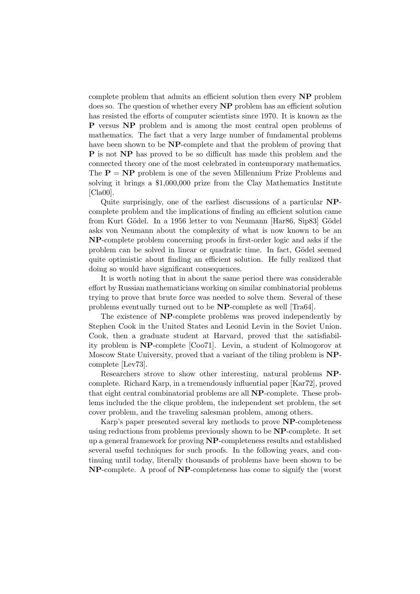complete problem that admits an efficient solution then every NP problem does so. The question of whether every NP problem has an efficient solution has resisted the efforts of computer scientists since 1970. It is known as the P versus NP problem and is among the most central open problems of mathematics. The fact that a very large number of fundamental problems have been shown to be **NP**-complete and that the problem of proving that **P** is not **NP** has proved to be so difficult has made this problem and the connected theory one of the most celebrated in contemporary mathematics. The  $P = NP$  problem is one of the seven Millennium Prize Problems and solving it brings a \$1,000,000 prize from the Clay Mathematics Institute [Cla00].

Quite surprisingly, one of the earliest discussions of a particular NPcomplete problem and the implications of finding an efficient solution came from Kurt Gödel. In a 1956 letter to von Neumann [Har86, Sip83] Gödel asks von Neumann about the complexity of what is now known to be an NP-complete problem concerning proofs in first-order logic and asks if the problem can be solved in linear or quadratic time. In fact, Gödel seemed quite optimistic about finding an efficient solution. He fully realized that doing so would have significant consequences.

It is worth noting that in about the same period there was considerable effort by Russian mathematicians working on similar combinatorial problems trying to prove that brute force was needed to solve them. Several of these problems eventually turned out to be NP-complete as well [Tra64].

The existence of NP-complete problems was proved independently by Stephen Cook in the United States and Leonid Levin in the Soviet Union. Cook, then a graduate student at Harvard, proved that the satisfiability problem is NP-complete [Coo71]. Levin, a student of Kolmogorov at Moscow State University, proved that a variant of the tiling problem is NPcomplete [Lev73].

Researchers strove to show other interesting, natural problems NPcomplete. Richard Karp, in a tremendously influential paper [Kar72], proved that eight central combinatorial problems are all NP-complete. These problems included the the clique problem, the independent set problem, the set cover problem, and the traveling salesman problem, among others.

Karp's paper presented several key methods to prove NP-completeness using reductions from problems previously shown to be NP-complete. It set up a general framework for proving  $NP$ -completeness results and established several useful techniques for such proofs. In the following years, and continuing until today, literally thousands of problems have been shown to be NP-complete. A proof of NP-completeness has come to signify the (worst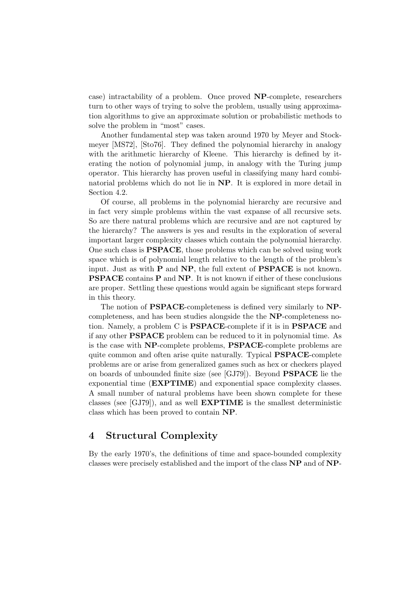case) intractability of a problem. Once proved NP-complete, researchers turn to other ways of trying to solve the problem, usually using approximation algorithms to give an approximate solution or probabilistic methods to solve the problem in "most" cases.

Another fundamental step was taken around 1970 by Meyer and Stockmeyer [MS72], [Sto76]. They defined the polynomial hierarchy in analogy with the arithmetic hierarchy of Kleene. This hierarchy is defined by iterating the notion of polynomial jump, in analogy with the Turing jump operator. This hierarchy has proven useful in classifying many hard combinatorial problems which do not lie in NP. It is explored in more detail in Section 4.2.

Of course, all problems in the polynomial hierarchy are recursive and in fact very simple problems within the vast expanse of all recursive sets. So are there natural problems which are recursive and are not captured by the hierarchy? The answers is yes and results in the exploration of several important larger complexity classes which contain the polynomial hierarchy. One such class is PSPACE, those problems which can be solved using work space which is of polynomial length relative to the length of the problem's input. Just as with P and NP, the full extent of PSPACE is not known. PSPACE contains P and NP. It is not known if either of these conclusions are proper. Settling these questions would again be significant steps forward in this theory.

The notion of PSPACE-completeness is defined very similarly to NPcompleteness, and has been studies alongside the the NP-completeness notion. Namely, a problem C is PSPACE-complete if it is in PSPACE and if any other PSPACE problem can be reduced to it in polynomial time. As is the case with NP-complete problems, PSPACE-complete problems are quite common and often arise quite naturally. Typical PSPACE-complete problems are or arise from generalized games such as hex or checkers played on boards of unbounded finite size (see [GJ79]). Beyond PSPACE lie the exponential time (EXPTIME) and exponential space complexity classes. A small number of natural problems have been shown complete for these classes (see [GJ79]), and as well EXPTIME is the smallest deterministic class which has been proved to contain NP.

### 4 Structural Complexity

By the early 1970's, the definitions of time and space-bounded complexity classes were precisely established and the import of the class NP and of NP-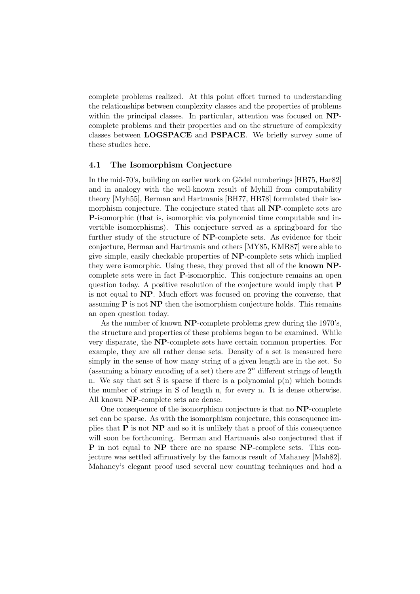complete problems realized. At this point effort turned to understanding the relationships between complexity classes and the properties of problems within the principal classes. In particular, attention was focused on NPcomplete problems and their properties and on the structure of complexity classes between LOGSPACE and PSPACE. We briefly survey some of these studies here.

#### 4.1 The Isomorphism Conjecture

In the mid-70's, building on earlier work on Gödel numberings [HB75, Har82] and in analogy with the well-known result of Myhill from computability theory [Myh55], Berman and Hartmanis [BH77, HB78] formulated their isomorphism conjecture. The conjecture stated that all NP-complete sets are P-isomorphic (that is, isomorphic via polynomial time computable and invertible isomorphisms). This conjecture served as a springboard for the further study of the structure of NP-complete sets. As evidence for their conjecture, Berman and Hartmanis and others [MY85, KMR87] were able to give simple, easily checkable properties of NP-complete sets which implied they were isomorphic. Using these, they proved that all of the known NPcomplete sets were in fact P-isomorphic. This conjecture remains an open question today. A positive resolution of the conjecture would imply that  $P$ is not equal to NP. Much effort was focused on proving the converse, that assuming  $P$  is not  $NP$  then the isomorphism conjecture holds. This remains an open question today.

As the number of known NP-complete problems grew during the 1970's, the structure and properties of these problems began to be examined. While very disparate, the NP-complete sets have certain common properties. For example, they are all rather dense sets. Density of a set is measured here simply in the sense of how many string of a given length are in the set. So (assuming a binary encoding of a set) there are  $2<sup>n</sup>$  different strings of length n. We say that set S is sparse if there is a polynomial  $p(n)$  which bounds the number of strings in S of length n, for every n. It is dense otherwise. All known NP-complete sets are dense.

One consequence of the isomorphism conjecture is that no NP-complete set can be sparse. As with the isomorphism conjecture, this consequence implies that  $P$  is not  $NP$  and so it is unlikely that a proof of this consequence will soon be forthcoming. Berman and Hartmanis also conjectured that if P in not equal to NP there are no sparse NP-complete sets. This conjecture was settled affirmatively by the famous result of Mahaney [Mah82]. Mahaney's elegant proof used several new counting techniques and had a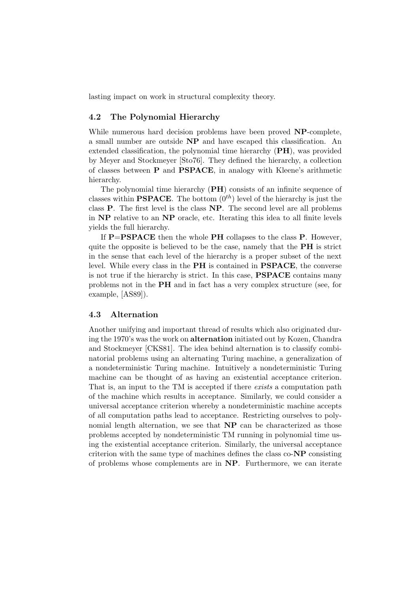lasting impact on work in structural complexity theory.

#### 4.2 The Polynomial Hierarchy

While numerous hard decision problems have been proved **NP**-complete, a small number are outside NP and have escaped this classification. An extended classification, the polynomial time hierarchy (PH), was provided by Meyer and Stockmeyer [Sto76]. They defined the hierarchy, a collection of classes between P and PSPACE, in analogy with Kleene's arithmetic hierarchy.

The polynomial time hierarchy (PH) consists of an infinite sequence of classes within **PSPACE**. The bottom  $(0<sup>th</sup>)$  level of the hierarchy is just the class P. The first level is the class NP. The second level are all problems in NP relative to an NP oracle, etc. Iterating this idea to all finite levels yields the full hierarchy.

If  $P=PSPACE$  then the whole PH collapses to the class P. However, quite the opposite is believed to be the case, namely that the  $\rm PH$  is strict in the sense that each level of the hierarchy is a proper subset of the next level. While every class in the PH is contained in PSPACE, the converse is not true if the hierarchy is strict. In this case, PSPACE contains many problems not in the PH and in fact has a very complex structure (see, for example, [AS89]).

#### 4.3 Alternation

Another unifying and important thread of results which also originated during the 1970's was the work on alternation initiated out by Kozen, Chandra and Stockmeyer [CKS81]. The idea behind alternation is to classify combinatorial problems using an alternating Turing machine, a generalization of a nondeterministic Turing machine. Intuitively a nondeterministic Turing machine can be thought of as having an existential acceptance criterion. That is, an input to the TM is accepted if there exists a computation path of the machine which results in acceptance. Similarly, we could consider a universal acceptance criterion whereby a nondeterministic machine accepts of all computation paths lead to acceptance. Restricting ourselves to polynomial length alternation, we see that **NP** can be characterized as those problems accepted by nondeterministic TM running in polynomial time using the existential acceptance criterion. Similarly, the universal acceptance criterion with the same type of machines defines the class co-NP consisting of problems whose complements are in NP. Furthermore, we can iterate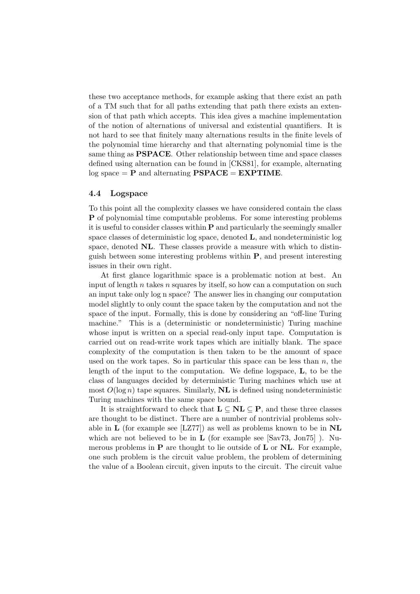these two acceptance methods, for example asking that there exist an path of a TM such that for all paths extending that path there exists an extension of that path which accepts. This idea gives a machine implementation of the notion of alternations of universal and existential quantifiers. It is not hard to see that finitely many alternations results in the finite levels of the polynomial time hierarchy and that alternating polynomial time is the same thing as PSPACE. Other relationship between time and space classes defined using alternation can be found in [CKS81], for example, alternating  $log space = P$  and alternating  $PSPACE = EXPTIME$ .

#### 4.4 Logspace

To this point all the complexity classes we have considered contain the class P of polynomial time computable problems. For some interesting problems it is useful to consider classes within  $P$  and particularly the seemingly smaller space classes of deterministic log space, denoted L, and nondeterministic log space, denoted NL. These classes provide a measure with which to distinguish between some interesting problems within  $P$ , and present interesting issues in their own right.

At first glance logarithmic space is a problematic notion at best. An input of length  $n$  takes  $n$  squares by itself, so how can a computation on such an input take only log n space? The answer lies in changing our computation model slightly to only count the space taken by the computation and not the space of the input. Formally, this is done by considering an "off-line Turing machine." This is a (deterministic or nondeterministic) Turing machine whose input is written on a special read-only input tape. Computation is carried out on read-write work tapes which are initially blank. The space complexity of the computation is then taken to be the amount of space used on the work tapes. So in particular this space can be less than  $n$ , the length of the input to the computation. We define logspace, L, to be the class of languages decided by deterministic Turing machines which use at most  $O(\log n)$  tape squares. Similarly, **NL** is defined using nondeterministic Turing machines with the same space bound.

It is straightforward to check that  $L \subseteq NL \subseteq P$ , and these three classes are thought to be distinct. There are a number of nontrivial problems solvable in L (for example see [LZ77]) as well as problems known to be in NL which are not believed to be in  $\bf{L}$  (for example see [Sav73, Jon75]). Numerous problems in  $P$  are thought to lie outside of  $L$  or  $NL$ . For example, one such problem is the circuit value problem, the problem of determining the value of a Boolean circuit, given inputs to the circuit. The circuit value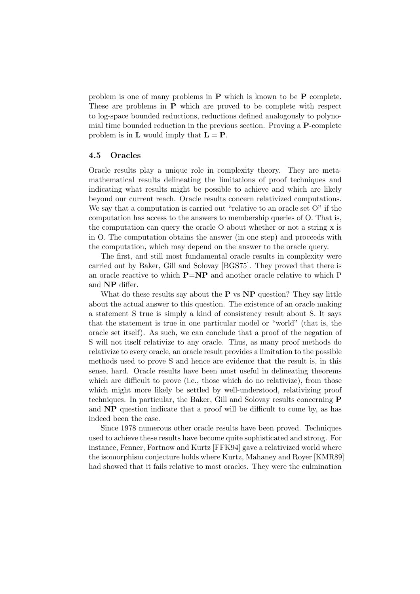problem is one of many problems in  $P$  which is known to be  $P$  complete. These are problems in P which are proved to be complete with respect to log-space bounded reductions, reductions defined analogously to polynomial time bounded reduction in the previous section. Proving a P-complete problem is in **L** would imply that  $\mathbf{L} = \mathbf{P}$ .

#### 4.5 Oracles

Oracle results play a unique role in complexity theory. They are metamathematical results delineating the limitations of proof techniques and indicating what results might be possible to achieve and which are likely beyond our current reach. Oracle results concern relativized computations. We say that a computation is carried out "relative to an oracle set O" if the computation has access to the answers to membership queries of O. That is, the computation can query the oracle O about whether or not a string x is in O. The computation obtains the answer (in one step) and proceeds with the computation, which may depend on the answer to the oracle query.

The first, and still most fundamental oracle results in complexity were carried out by Baker, Gill and Solovay [BGS75]. They proved that there is an oracle reactive to which  $P=NP$  and another oracle relative to which P and NP differ.

What do these results say about the  $P$  vs  $NP$  question? They say little about the actual answer to this question. The existence of an oracle making a statement S true is simply a kind of consistency result about S. It says that the statement is true in one particular model or "world" (that is, the oracle set itself). As such, we can conclude that a proof of the negation of S will not itself relativize to any oracle. Thus, as many proof methods do relativize to every oracle, an oracle result provides a limitation to the possible methods used to prove S and hence are evidence that the result is, in this sense, hard. Oracle results have been most useful in delineating theorems which are difficult to prove (i.e., those which do no relativize), from those which might more likely be settled by well-understood, relativizing proof techniques. In particular, the Baker, Gill and Solovay results concerning P and NP question indicate that a proof will be difficult to come by, as has indeed been the case.

Since 1978 numerous other oracle results have been proved. Techniques used to achieve these results have become quite sophisticated and strong. For instance, Fenner, Fortnow and Kurtz [FFK94] gave a relativized world where the isomorphism conjecture holds where Kurtz, Mahaney and Royer [KMR89] had showed that it fails relative to most oracles. They were the culmination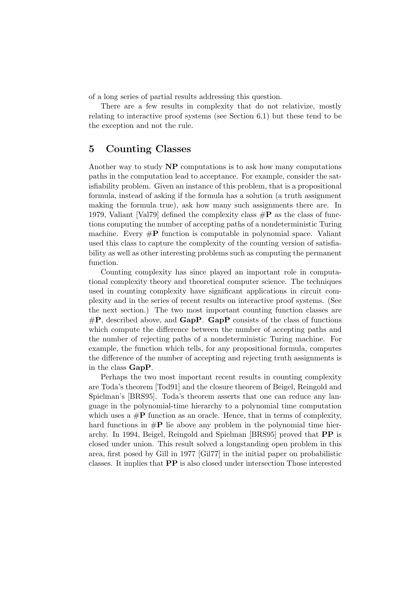of a long series of partial results addressing this question.

There are a few results in complexity that do not relativize, mostly relating to interactive proof systems (see Section 6.1) but these tend to be the exception and not the rule.

### 5 Counting Classes

Another way to study NP computations is to ask how many computations paths in the computation lead to acceptance. For example, consider the satisfiability problem. Given an instance of this problem, that is a propositional formula, instead of asking if the formula has a solution (a truth assignment making the formula true), ask how many such assignments there are. In 1979, Valiant [Val79] defined the complexity class  $\#\mathbf{P}$  as the class of functions computing the number of accepting paths of a nondeterministic Turing machine. Every  $\#\mathbf{P}$  function is computable in polynomial space. Valiant used this class to capture the complexity of the counting version of satisfiability as well as other interesting problems such as computing the permanent function.

Counting complexity has since played an important role in computational complexity theory and theoretical computer science. The techniques used in counting complexity have significant applications in circuit complexity and in the series of recent results on interactive proof systems. (See the next section.) The two most important counting function classes are  $\#P$ , described above, and **GapP**. **GapP** consists of the class of functions which compute the difference between the number of accepting paths and the number of rejecting paths of a nondeterministic Turing machine. For example, the function which tells, for any propositional formula, computes the difference of the number of accepting and rejecting truth assignments is in the class GapP.

Perhaps the two most important recent results in counting complexity are Toda's theorem [Tod91] and the closure theorem of Beigel, Reingold and Spielman's [BRS95]. Toda's theorem asserts that one can reduce any language in the polynomial-time hierarchy to a polynomial time computation which uses a  $\#P$  function as an oracle. Hence, that in terms of complexity, hard functions in  $\#P$  lie above any problem in the polynomial time hierarchy. In 1994, Beigel, Reingold and Spielman [BRS95] proved that PP is closed under union. This result solved a longstanding open problem in this area, first posed by Gill in 1977 [Gil77] in the initial paper on probabilistic classes. It implies that PP is also closed under intersection Those interested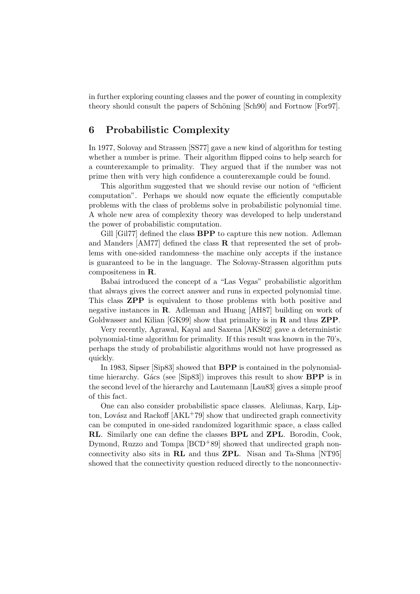in further exploring counting classes and the power of counting in complexity theory should consult the papers of Schöning [Sch90] and Fortnow [For97].

## 6 Probabilistic Complexity

In 1977, Solovay and Strassen [SS77] gave a new kind of algorithm for testing whether a number is prime. Their algorithm flipped coins to help search for a counterexample to primality. They argued that if the number was not prime then with very high confidence a counterexample could be found.

This algorithm suggested that we should revise our notion of "efficient computation". Perhaps we should now equate the efficiently computable problems with the class of problems solve in probabilistic polynomial time. A whole new area of complexity theory was developed to help understand the power of probabilistic computation.

Gill [Gil77] defined the class **BPP** to capture this new notion. Adleman and Manders [AM77] defined the class R that represented the set of problems with one-sided randomness–the machine only accepts if the instance is guaranteed to be in the language. The Solovay-Strassen algorithm puts compositeness in R.

Babai introduced the concept of a "Las Vegas" probabilistic algorithm that always gives the correct answer and runs in expected polynomial time. This class ZPP is equivalent to those problems with both positive and negative instances in R. Adleman and Huang [AH87] building on work of Goldwasser and Kilian [GK99] show that primality is in R and thus ZPP.

Very recently, Agrawal, Kayal and Saxena [AKS02] gave a deterministic polynomial-time algorithm for primality. If this result was known in the 70's, perhaps the study of probabilistic algorithms would not have progressed as quickly.

In 1983, Sipser [Sip83] showed that BPP is contained in the polynomialtime hierarchy. Gács (see  $[\text{Sip83}]$ ) improves this result to show **BPP** is in the second level of the hierarchy and Lautemann [Lau83] gives a simple proof of this fact.

One can also consider probabilistic space classes. Aleliunas, Karp, Lipton, Lovász and Rackoff  $[AKL+79]$  show that undirected graph connectivity can be computed in one-sided randomized logarithmic space, a class called RL. Similarly one can define the classes BPL and ZPL. Borodin, Cook, Dymond, Ruzzo and Tompa [BCD<sup>+</sup>89] showed that undirected graph nonconnectivity also sits in RL and thus ZPL. Nisan and Ta-Shma [NT95] showed that the connectivity question reduced directly to the nonconnectiv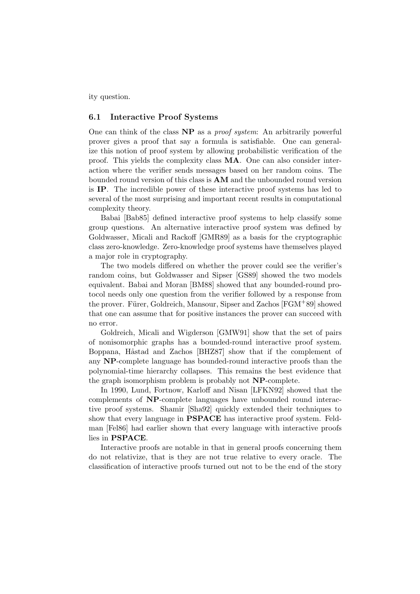ity question.

#### 6.1 Interactive Proof Systems

One can think of the class  $\bf NP$  as a *proof system*: An arbitrarily powerful prover gives a proof that say a formula is satisfiable. One can generalize this notion of proof system by allowing probabilistic verification of the proof. This yields the complexity class MA. One can also consider interaction where the verifier sends messages based on her random coins. The bounded round version of this class is  $AM$  and the unbounded round version is IP. The incredible power of these interactive proof systems has led to several of the most surprising and important recent results in computational complexity theory.

Babai [Bab85] defined interactive proof systems to help classify some group questions. An alternative interactive proof system was defined by Goldwasser, Micali and Rackoff [GMR89] as a basis for the cryptographic class zero-knowledge. Zero-knowledge proof systems have themselves played a major role in cryptography.

The two models differed on whether the prover could see the verifier's random coins, but Goldwasser and Sipser [GS89] showed the two models equivalent. Babai and Moran [BM88] showed that any bounded-round protocol needs only one question from the verifier followed by a response from the prover. Fürer, Goldreich, Mansour, Sipser and Zachos  $[FGM+89]$  showed that one can assume that for positive instances the prover can succeed with no error.

Goldreich, Micali and Wigderson [GMW91] show that the set of pairs of nonisomorphic graphs has a bounded-round interactive proof system. Boppana, Håstad and Zachos [BHZ87] show that if the complement of any NP-complete language has bounded-round interactive proofs than the polynomial-time hierarchy collapses. This remains the best evidence that the graph isomorphism problem is probably not NP-complete.

In 1990, Lund, Fortnow, Karloff and Nisan [LFKN92] showed that the complements of NP-complete languages have unbounded round interactive proof systems. Shamir [Sha92] quickly extended their techniques to show that every language in PSPACE has interactive proof system. Feldman [Fel86] had earlier shown that every language with interactive proofs lies in PSPACE.

Interactive proofs are notable in that in general proofs concerning them do not relativize, that is they are not true relative to every oracle. The classification of interactive proofs turned out not to be the end of the story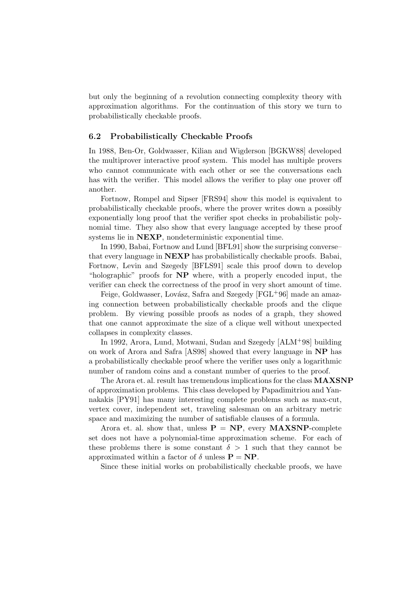but only the beginning of a revolution connecting complexity theory with approximation algorithms. For the continuation of this story we turn to probabilistically checkable proofs.

#### 6.2 Probabilistically Checkable Proofs

In 1988, Ben-Or, Goldwasser, Kilian and Wigderson [BGKW88] developed the multiprover interactive proof system. This model has multiple provers who cannot communicate with each other or see the conversations each has with the verifier. This model allows the verifier to play one prover off another.

Fortnow, Rompel and Sipser [FRS94] show this model is equivalent to probabilistically checkable proofs, where the prover writes down a possibly exponentially long proof that the verifier spot checks in probabilistic polynomial time. They also show that every language accepted by these proof systems lie in NEXP, nondeterministic exponential time.

In 1990, Babai, Fortnow and Lund [BFL91] show the surprising converse– that every language in NEXP has probabilistically checkable proofs. Babai, Fortnow, Levin and Szegedy [BFLS91] scale this proof down to develop "holographic" proofs for NP where, with a properly encoded input, the verifier can check the correctness of the proof in very short amount of time.

Feige, Goldwasser, Lovász, Safra and Szegedy  $[FGL^{+}96]$  made an amazing connection between probabilistically checkable proofs and the clique problem. By viewing possible proofs as nodes of a graph, they showed that one cannot approximate the size of a clique well without unexpected collapses in complexity classes.

In 1992, Arora, Lund, Motwani, Sudan and Szegedy [ALM+98] building on work of Arora and Safra [AS98] showed that every language in NP has a probabilistically checkable proof where the verifier uses only a logarithmic number of random coins and a constant number of queries to the proof.

The Arora et. al. result has tremendous implications for the class **MAXSNP** of approximation problems. This class developed by Papadimitriou and Yannakakis [PY91] has many interesting complete problems such as max-cut, vertex cover, independent set, traveling salesman on an arbitrary metric space and maximizing the number of satisfiable clauses of a formula.

Arora et. al. show that, unless  $P = NP$ , every MAXSNP-complete set does not have a polynomial-time approximation scheme. For each of these problems there is some constant  $\delta > 1$  such that they cannot be approximated within a factor of  $\delta$  unless  $P = NP$ .

Since these initial works on probabilistically checkable proofs, we have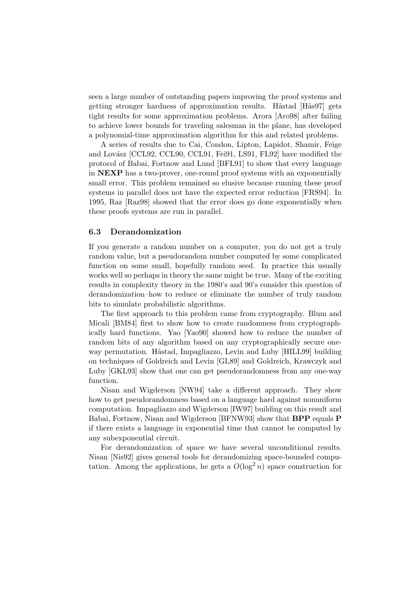seen a large number of outstanding papers improving the proof systems and getting stronger hardness of approximation results. Håstad [Hås97] gets tight results for some approximation problems. Arora [Aro98] after failing to achieve lower bounds for traveling salesman in the plane, has developed a polynomial-time approximation algorithm for this and related problems.

A series of results due to Cai, Condon, Lipton, Lapidot, Shamir, Feige and Lovász [CCL92, CCL90, CCL91, Fei91, LS91, FL92] have modified the protocol of Babai, Fortnow and Lund [BFL91] to show that every language in NEXP has a two-prover, one-round proof systems with an exponentially small error. This problem remained so elusive because running these proof systems in parallel does not have the expected error reduction [FRS94]. In 1995, Raz [Raz98] showed that the error does go done exponentially when these proofs systems are run in parallel.

#### 6.3 Derandomization

If you generate a random number on a computer, you do not get a truly random value, but a pseudorandom number computed by some complicated function on some small, hopefully random seed. In practice this usually works well so perhaps in theory the same might be true. Many of the exciting results in complexity theory in the 1980's and 90's consider this question of derandomization–how to reduce or eliminate the number of truly random bits to simulate probabilistic algorithms.

The first approach to this problem came from cryptography. Blum and Micali [BM84] first to show how to create randomness from cryptographically hard functions. Yao [Yao90] showed how to reduce the number of random bits of any algorithm based on any cryptographically secure oneway permutation. Håstad, Impagliazzo, Levin and Luby [HILL99] building on techniques of Goldreich and Levin [GL89] and Goldreich, Krawczyk and Luby [GKL93] show that one can get pseudorandomness from any one-way function.

Nisan and Wigderson [NW94] take a different approach. They show how to get pseudorandomness based on a language hard against nonuniform computation. Impagliazzo and Wigderson [IW97] building on this result and Babai, Fortnow, Nisan and Wigderson [BFNW93] show that BPP equals P if there exists a language in exponential time that cannot be computed by any subexponential circuit.

For derandomization of space we have several unconditional results. Nisan [Nis92] gives general tools for derandomizing space-bounded computation. Among the applications, he gets a  $O(\log^2 n)$  space construction for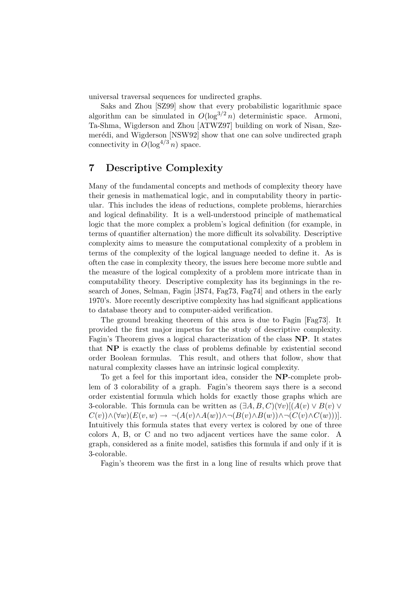universal traversal sequences for undirected graphs.

Saks and Zhou [SZ99] show that every probabilistic logarithmic space algorithm can be simulated in  $O(\log^{3/2} n)$  deterministic space. Armoni, Ta-Shma, Wigderson and Zhou [ATWZ97] building on work of Nisan, Szemerédi, and Wigderson [NSW92] show that one can solve undirected graph connectivity in  $O(\log^{4/3} n)$  space.

### 7 Descriptive Complexity

Many of the fundamental concepts and methods of complexity theory have their genesis in mathematical logic, and in computability theory in particular. This includes the ideas of reductions, complete problems, hierarchies and logical definability. It is a well-understood principle of mathematical logic that the more complex a problem's logical definition (for example, in terms of quantifier alternation) the more difficult its solvability. Descriptive complexity aims to measure the computational complexity of a problem in terms of the complexity of the logical language needed to define it. As is often the case in complexity theory, the issues here become more subtle and the measure of the logical complexity of a problem more intricate than in computability theory. Descriptive complexity has its beginnings in the research of Jones, Selman, Fagin [JS74, Fag73, Fag74] and others in the early 1970's. More recently descriptive complexity has had significant applications to database theory and to computer-aided verification.

The ground breaking theorem of this area is due to Fagin [Fag73]. It provided the first major impetus for the study of descriptive complexity. Fagin's Theorem gives a logical characterization of the class NP. It states that NP is exactly the class of problems definable by existential second order Boolean formulas. This result, and others that follow, show that natural complexity classes have an intrinsic logical complexity.

To get a feel for this important idea, consider the NP-complete problem of 3 colorability of a graph. Fagin's theorem says there is a second order existential formula which holds for exactly those graphs which are 3-colorable. This formula can be written as  $(\exists A, B, C)(\forall v)[(A(v) \vee B(v) \vee$  $C(v)\wedge(\forall w)(E(v, w) \rightarrow \neg(A(v)\wedge A(w))\wedge \neg(B(v)\wedge B(w))\wedge \neg(C(v)\wedge C(w))).$ Intuitively this formula states that every vertex is colored by one of three colors A, B, or C and no two adjacent vertices have the same color. A graph, considered as a finite model, satisfies this formula if and only if it is 3-colorable.

Fagin's theorem was the first in a long line of results which prove that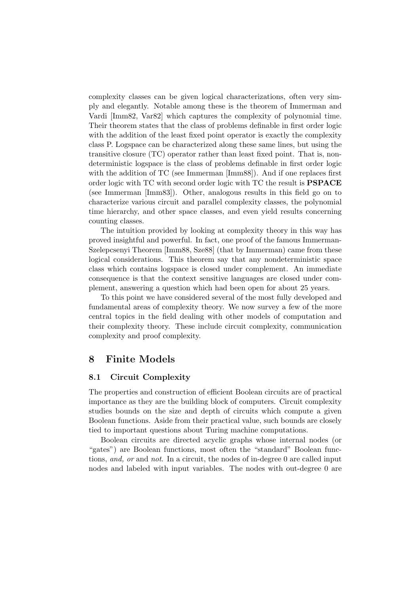complexity classes can be given logical characterizations, often very simply and elegantly. Notable among these is the theorem of Immerman and Vardi [Imm82, Var82] which captures the complexity of polynomial time. Their theorem states that the class of problems definable in first order logic with the addition of the least fixed point operator is exactly the complexity class P. Logspace can be characterized along these same lines, but using the transitive closure (TC) operator rather than least fixed point. That is, nondeterministic logspace is the class of problems definable in first order logic with the addition of TC (see Immerman [Imm88]). And if one replaces first order logic with TC with second order logic with TC the result is PSPACE (see Immerman [Imm83]). Other, analogous results in this field go on to characterize various circuit and parallel complexity classes, the polynomial time hierarchy, and other space classes, and even yield results concerning counting classes.

The intuition provided by looking at complexity theory in this way has proved insightful and powerful. In fact, one proof of the famous Immerman-Szelepcsenyi Theorem [Imm88, Sze88] (that by Immerman) came from these logical considerations. This theorem say that any nondeterministic space class which contains logspace is closed under complement. An immediate consequence is that the context sensitive languages are closed under complement, answering a question which had been open for about 25 years.

To this point we have considered several of the most fully developed and fundamental areas of complexity theory. We now survey a few of the more central topics in the field dealing with other models of computation and their complexity theory. These include circuit complexity, communication complexity and proof complexity.

### 8 Finite Models

#### 8.1 Circuit Complexity

The properties and construction of efficient Boolean circuits are of practical importance as they are the building block of computers. Circuit complexity studies bounds on the size and depth of circuits which compute a given Boolean functions. Aside from their practical value, such bounds are closely tied to important questions about Turing machine computations.

Boolean circuits are directed acyclic graphs whose internal nodes (or "gates") are Boolean functions, most often the "standard" Boolean functions, and, or and not. In a circuit, the nodes of in-degree 0 are called input nodes and labeled with input variables. The nodes with out-degree 0 are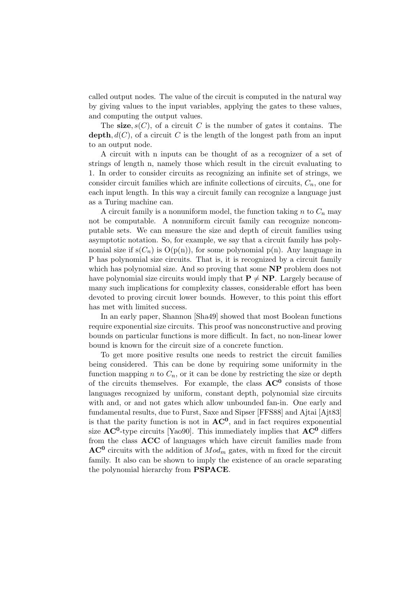called output nodes. The value of the circuit is computed in the natural way by giving values to the input variables, applying the gates to these values, and computing the output values.

The size,  $s(C)$ , of a circuit C is the number of gates it contains. The depth,  $d(C)$ , of a circuit C is the length of the longest path from an input to an output node.

A circuit with n inputs can be thought of as a recognizer of a set of strings of length n, namely those which result in the circuit evaluating to 1. In order to consider circuits as recognizing an infinite set of strings, we consider circuit families which are infinite collections of circuits,  $C_n$ , one for each input length. In this way a circuit family can recognize a language just as a Turing machine can.

A circuit family is a nonuniform model, the function taking  $n$  to  $C_n$  may not be computable. A nonuniform circuit family can recognize noncomputable sets. We can measure the size and depth of circuit families using asymptotic notation. So, for example, we say that a circuit family has polynomial size if  $s(C_n)$  is  $O(p(n))$ , for some polynomial  $p(n)$ . Any language in P has polynomial size circuits. That is, it is recognized by a circuit family which has polynomial size. And so proving that some **NP** problem does not have polynomial size circuits would imply that  $P \neq NP$ . Largely because of many such implications for complexity classes, considerable effort has been devoted to proving circuit lower bounds. However, to this point this effort has met with limited success.

In an early paper, Shannon [Sha49] showed that most Boolean functions require exponential size circuits. This proof was nonconstructive and proving bounds on particular functions is more difficult. In fact, no non-linear lower bound is known for the circuit size of a concrete function.

To get more positive results one needs to restrict the circuit families being considered. This can be done by requiring some uniformity in the function mapping n to  $C_n$ , or it can be done by restricting the size or depth of the circuits themselves. For example, the class  $AC^0$  consists of those languages recognized by uniform, constant depth, polynomial size circuits with and, or and not gates which allow unbounded fan-in. One early and fundamental results, due to Furst, Saxe and Sipser [FFS88] and Ajtai [Ajt83] is that the parity function is not in  $AC^0$ , and in fact requires exponential size  $AC^0$ -type circuits [Yao90]. This immediately implies that  $AC^0$  differs from the class ACC of languages which have circuit families made from  $AC^0$  circuits with the addition of  $Mod_m$  gates, with m fixed for the circuit family. It also can be shown to imply the existence of an oracle separating the polynomial hierarchy from PSPACE.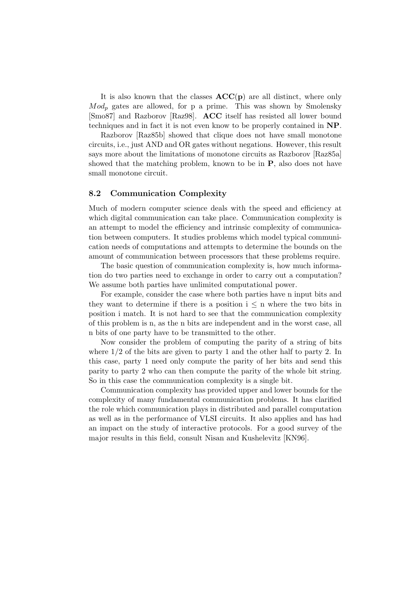It is also known that the classes  $\text{ACC}(p)$  are all distinct, where only  $Mod_p$  gates are allowed, for p a prime. This was shown by Smolensky [Smo87] and Razborov [Raz98]. ACC itself has resisted all lower bound techniques and in fact it is not even know to be properly contained in NP.

Razborov [Raz85b] showed that clique does not have small monotone circuits, i.e., just AND and OR gates without negations. However, this result says more about the limitations of monotone circuits as Razborov [Raz85a] showed that the matching problem, known to be in  $P$ , also does not have small monotone circuit.

#### 8.2 Communication Complexity

Much of modern computer science deals with the speed and efficiency at which digital communication can take place. Communication complexity is an attempt to model the efficiency and intrinsic complexity of communication between computers. It studies problems which model typical communication needs of computations and attempts to determine the bounds on the amount of communication between processors that these problems require.

The basic question of communication complexity is, how much information do two parties need to exchange in order to carry out a computation? We assume both parties have unlimited computational power.

For example, consider the case where both parties have n input bits and they want to determine if there is a position  $i \leq n$  where the two bits in position i match. It is not hard to see that the communication complexity of this problem is n, as the n bits are independent and in the worst case, all n bits of one party have to be transmitted to the other.

Now consider the problem of computing the parity of a string of bits where  $1/2$  of the bits are given to party 1 and the other half to party 2. In this case, party 1 need only compute the parity of her bits and send this parity to party 2 who can then compute the parity of the whole bit string. So in this case the communication complexity is a single bit.

Communication complexity has provided upper and lower bounds for the complexity of many fundamental communication problems. It has clarified the role which communication plays in distributed and parallel computation as well as in the performance of VLSI circuits. It also applies and has had an impact on the study of interactive protocols. For a good survey of the major results in this field, consult Nisan and Kushelevitz [KN96].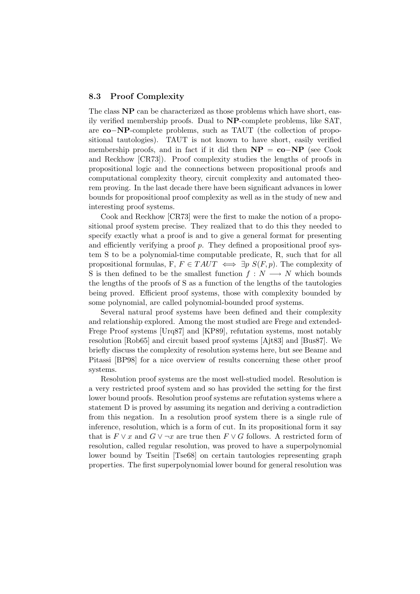#### 8.3 Proof Complexity

The class NP can be characterized as those problems which have short, easily verified membership proofs. Dual to NP-complete problems, like SAT, are co−NP-complete problems, such as TAUT (the collection of propositional tautologies). TAUT is not known to have short, easily verified membership proofs, and in fact if it did then  $NP = co-NP$  (see Cook and Reckhow [CR73]). Proof complexity studies the lengths of proofs in propositional logic and the connections between propositional proofs and computational complexity theory, circuit complexity and automated theorem proving. In the last decade there have been significant advances in lower bounds for propositional proof complexity as well as in the study of new and interesting proof systems.

Cook and Reckhow [CR73] were the first to make the notion of a propositional proof system precise. They realized that to do this they needed to specify exactly what a proof is and to give a general format for presenting and efficiently verifying a proof  $p$ . They defined a propositional proof system S to be a polynomial-time computable predicate, R, such that for all propositional formulas, F,  $F \in TAUT \iff \exists p S(F,p)$ . The complexity of S is then defined to be the smallest function  $f : N \longrightarrow N$  which bounds the lengths of the proofs of S as a function of the lengths of the tautologies being proved. Efficient proof systems, those with complexity bounded by some polynomial, are called polynomial-bounded proof systems.

Several natural proof systems have been defined and their complexity and relationship explored. Among the most studied are Frege and extended-Frege Proof systems [Urq87] and [KP89], refutation systems, most notably resolution [Rob65] and circuit based proof systems [Ajt83] and [Bus87]. We briefly discuss the complexity of resolution systems here, but see Beame and Pitassi [BP98] for a nice overview of results concerning these other proof systems.

Resolution proof systems are the most well-studied model. Resolution is a very restricted proof system and so has provided the setting for the first lower bound proofs. Resolution proof systems are refutation systems where a statement D is proved by assuming its negation and deriving a contradiction from this negation. In a resolution proof system there is a single rule of inference, resolution, which is a form of cut. In its propositional form it say that is  $F \vee x$  and  $G \vee \neg x$  are true then  $F \vee G$  follows. A restricted form of resolution, called regular resolution, was proved to have a superpolynomial lower bound by Tseitin [Tse68] on certain tautologies representing graph properties. The first superpolynomial lower bound for general resolution was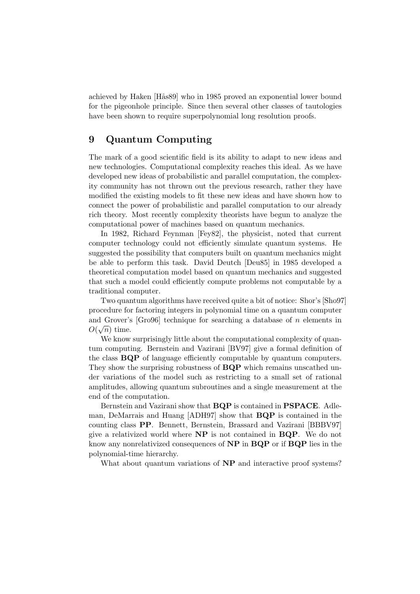achieved by Haken [Hås89] who in 1985 proved an exponential lower bound for the pigeonhole principle. Since then several other classes of tautologies have been shown to require superpolynomial long resolution proofs.

# 9 Quantum Computing

The mark of a good scientific field is its ability to adapt to new ideas and new technologies. Computational complexity reaches this ideal. As we have developed new ideas of probabilistic and parallel computation, the complexity community has not thrown out the previous research, rather they have modified the existing models to fit these new ideas and have shown how to connect the power of probabilistic and parallel computation to our already rich theory. Most recently complexity theorists have begun to analyze the computational power of machines based on quantum mechanics.

In 1982, Richard Feynman [Fey82], the physicist, noted that current computer technology could not efficiently simulate quantum systems. He suggested the possibility that computers built on quantum mechanics might be able to perform this task. David Deutch [Deu85] in 1985 developed a theoretical computation model based on quantum mechanics and suggested that such a model could efficiently compute problems not computable by a traditional computer.

Two quantum algorithms have received quite a bit of notice: Shor's [Sho97] procedure for factoring integers in polynomial time on a quantum computer and Grover's [Gro96] technique for searching a database of  $n$  elements in  $O(\sqrt{n})$  time.

We know surprisingly little about the computational complexity of quantum computing. Bernstein and Vazirani [BV97] give a formal definition of the class BQP of language efficiently computable by quantum computers. They show the surprising robustness of **BQP** which remains unscathed under variations of the model such as restricting to a small set of rational amplitudes, allowing quantum subroutines and a single measurement at the end of the computation.

Bernstein and Vazirani show that BQP is contained in PSPACE. Adleman, DeMarrais and Huang [ADH97] show that BQP is contained in the counting class PP. Bennett, Bernstein, Brassard and Vazirani [BBBV97] give a relativized world where NP is not contained in BQP. We do not know any nonrelativized consequences of NP in BQP or if BQP lies in the polynomial-time hierarchy.

What about quantum variations of **NP** and interactive proof systems?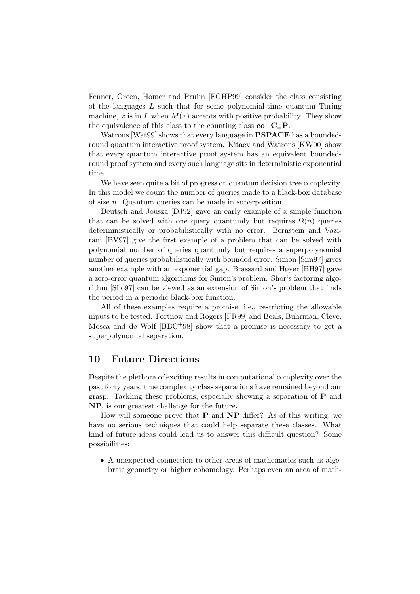Fenner, Green, Homer and Pruim [FGHP99] consider the class consisting of the languages  $L$  such that for some polynomial-time quantum Turing machine, x is in L when  $M(x)$  accepts with positive probability. They show the equivalence of this class to the counting class  $co-C=P$ .

Watrous [Wat99] shows that every language in **PSPACE** has a boundedround quantum interactive proof system. Kitaev and Watrous [KW00] show that every quantum interactive proof system has an equivalent boundedround proof system and every such language sits in deterministic exponential time.

We have seen quite a bit of progress on quantum decision tree complexity. In this model we count the number of queries made to a black-box database of size n. Quantum queries can be made in superposition.

Deutsch and Jousza [DJ92] gave an early example of a simple function that can be solved with one query quantumly but requires  $\Omega(n)$  queries deterministically or probabilistically with no error. Bernstein and Vazirani [BV97] give the first example of a problem that can be solved with polynomial number of queries quantumly but requires a superpolynomial number of queries probabilistically with bounded error. Simon [Sim97] gives another example with an exponential gap. Brassard and Høyer [BH97] gave a zero-error quantum algorithms for Simon's problem. Shor's factoring algorithm [Sho97] can be viewed as an extension of Simon's problem that finds the period in a periodic black-box function.

All of these examples require a promise, i.e., restricting the allowable inputs to be tested. Fortnow and Rogers [FR99] and Beals, Buhrman, Cleve, Mosca and de Wolf  $[BBC + 98]$  show that a promise is necessary to get a superpolynomial separation.

### 10 Future Directions

Despite the plethora of exciting results in computational complexity over the past forty years, true complexity class separations have remained beyond our grasp. Tackling these problems, especially showing a separation of P and NP, is our greatest challenge for the future.

How will someone prove that  $P$  and  $NP$  differ? As of this writing, we have no serious techniques that could help separate these classes. What kind of future ideas could lead us to answer this difficult question? Some possibilities:

• A unexpected connection to other areas of mathematics such as algebraic geometry or higher cohomology. Perhaps even an area of math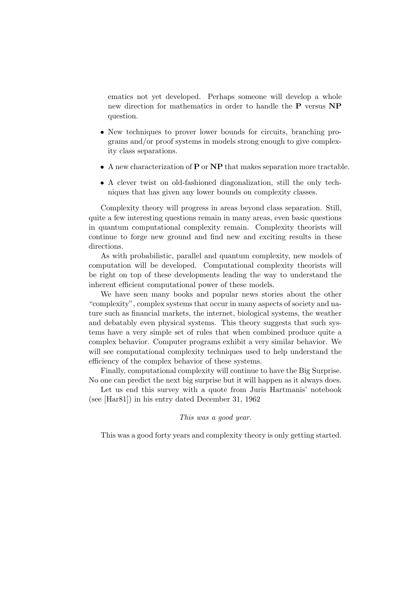ematics not yet developed. Perhaps someone will develop a whole new direction for mathematics in order to handle the P versus NP question.

- New techniques to prover lower bounds for circuits, branching programs and/or proof systems in models strong enough to give complexity class separations.
- A new characterization of P or NP that makes separation more tractable.
- A clever twist on old-fashioned diagonalization, still the only techniques that has given any lower bounds on complexity classes.

Complexity theory will progress in areas beyond class separation. Still, quite a few interesting questions remain in many areas, even basic questions in quantum computational complexity remain. Complexity theorists will continue to forge new ground and find new and exciting results in these directions.

As with probabilistic, parallel and quantum complexity, new models of computation will be developed. Computational complexity theorists will be right on top of these developments leading the way to understand the inherent efficient computational power of these models.

We have seen many books and popular news stories about the other "complexity", complex systems that occur in many aspects of society and nature such as financial markets, the internet, biological systems, the weather and debatably even physical systems. This theory suggests that such systems have a very simple set of rules that when combined produce quite a complex behavior. Computer programs exhibit a very similar behavior. We will see computational complexity techniques used to help understand the efficiency of the complex behavior of these systems.

Finally, computational complexity will continue to have the Big Surprise. No one can predict the next big surprise but it will happen as it always does.

Let us end this survey with a quote from Juris Hartmanis' notebook (see [Har81]) in his entry dated December 31, 1962

#### This was a good year.

This was a good forty years and complexity theory is only getting started.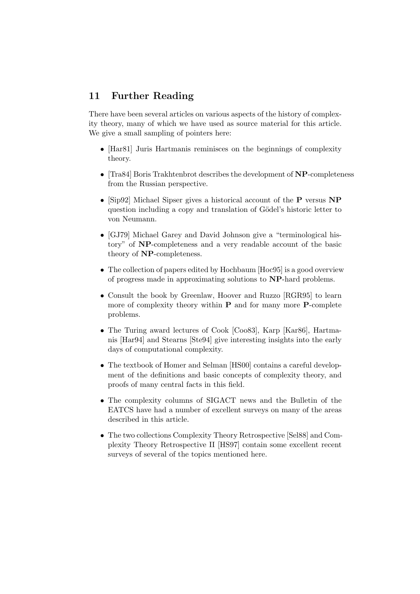# 11 Further Reading

There have been several articles on various aspects of the history of complexity theory, many of which we have used as source material for this article. We give a small sampling of pointers here:

- [Har81] Juris Hartmanis reminisces on the beginnings of complexity theory.
- [Tra84] Boris Trakhtenbrot describes the development of NP-completeness from the Russian perspective.
- [Sip92] Michael Sipser gives a historical account of the **P** versus **NP** question including a copy and translation of Gödel's historic letter to von Neumann.
- [GJ79] Michael Garey and David Johnson give a "terminological history" of NP-completeness and a very readable account of the basic theory of NP-completeness.
- The collection of papers edited by Hochbaum [Hoc95] is a good overview of progress made in approximating solutions to NP-hard problems.
- Consult the book by Greenlaw, Hoover and Ruzzo [RGR95] to learn more of complexity theory within  $P$  and for many more  $P$ -complete problems.
- The Turing award lectures of Cook [Coo83], Karp [Kar86], Hartmanis [Har94] and Stearns [Ste94] give interesting insights into the early days of computational complexity.
- The textbook of Homer and Selman [HS00] contains a careful development of the definitions and basic concepts of complexity theory, and proofs of many central facts in this field.
- The complexity columns of SIGACT news and the Bulletin of the EATCS have had a number of excellent surveys on many of the areas described in this article.
- The two collections Complexity Theory Retrospective [Sel88] and Complexity Theory Retrospective II [HS97] contain some excellent recent surveys of several of the topics mentioned here.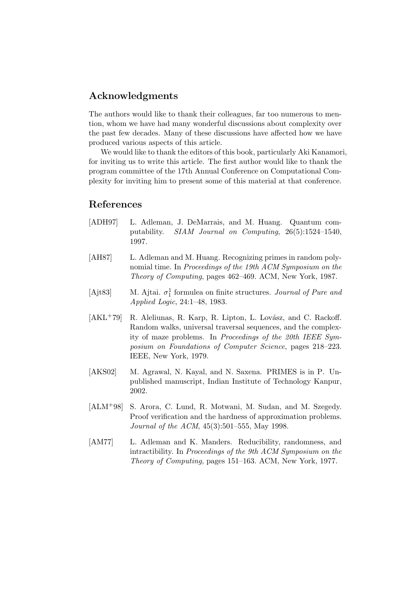## Acknowledgments

The authors would like to thank their colleagues, far too numerous to mention, whom we have had many wonderful discussions about complexity over the past few decades. Many of these discussions have affected how we have produced various aspects of this article.

We would like to thank the editors of this book, particularly Aki Kanamori, for inviting us to write this article. The first author would like to thank the program committee of the 17th Annual Conference on Computational Complexity for inviting him to present some of this material at that conference.

### References

- [ADH97] L. Adleman, J. DeMarrais, and M. Huang. Quantum computability. SIAM Journal on Computing, 26(5):1524–1540, 1997.
- [AH87] L. Adleman and M. Huang. Recognizing primes in random polynomial time. In Proceedings of the 19th ACM Symposium on the Theory of Computing, pages 462–469. ACM, New York, 1987.
- [Ajt83] M. Ajtai.  $\sigma_1^1$  formulea on finite structures. *Journal of Pure and* Applied Logic, 24:1–48, 1983.
- [AKL<sup>+</sup>79] R. Aleliunas, R. Karp, R. Lipton, L. Lovász, and C. Rackoff. Random walks, universal traversal sequences, and the complexity of maze problems. In Proceedings of the 20th IEEE Symposium on Foundations of Computer Science, pages 218–223. IEEE, New York, 1979.
- [AKS02] M. Agrawal, N. Kayal, and N. Saxena. PRIMES is in P. Unpublished manuscript, Indian Institute of Technology Kanpur, 2002.
- [ALM+98] S. Arora, C. Lund, R. Motwani, M. Sudan, and M. Szegedy. Proof verification and the hardness of approximation problems. Journal of the ACM, 45(3):501–555, May 1998.
- [AM77] L. Adleman and K. Manders. Reducibility, randomness, and intractibility. In Proceedings of the 9th ACM Symposium on the Theory of Computing, pages 151–163. ACM, New York, 1977.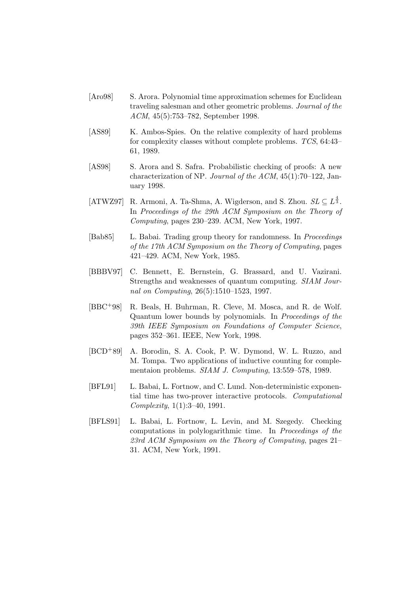- [Aro98] S. Arora. Polynomial time approximation schemes for Euclidean traveling salesman and other geometric problems. Journal of the ACM, 45(5):753–782, September 1998.
- [AS89] K. Ambos-Spies. On the relative complexity of hard problems for complexity classes without complete problems. TCS, 64:43– 61, 1989.
- [AS98] S. Arora and S. Safra. Probabilistic checking of proofs: A new characterization of NP. Journal of the  $ACM$ ,  $45(1)$ :70–122, January 1998.
- [ATWZ97] R. Armoni, A. Ta-Shma, A. Wigderson, and S. Zhou.  $SL \subseteq L^{\frac{4}{3}}$ . In Proceedings of the 29th ACM Symposium on the Theory of Computing, pages 230–239. ACM, New York, 1997.
- [Bab85] L. Babai. Trading group theory for randomness. In Proceedings of the 17th ACM Symposium on the Theory of Computing, pages 421–429. ACM, New York, 1985.
- [BBBV97] C. Bennett, E. Bernstein, G. Brassard, and U. Vazirani. Strengths and weaknesses of quantum computing. SIAM Journal on Computing, 26(5):1510–1523, 1997.
- [BBC+98] R. Beals, H. Buhrman, R. Cleve, M. Mosca, and R. de Wolf. Quantum lower bounds by polynomials. In Proceedings of the 39th IEEE Symposium on Foundations of Computer Science, pages 352–361. IEEE, New York, 1998.
- [BCD+89] A. Borodin, S. A. Cook, P. W. Dymond, W. L. Ruzzo, and M. Tompa. Two applications of inductive counting for complementaion problems. SIAM J. Computing, 13:559–578, 1989.
- [BFL91] L. Babai, L. Fortnow, and C. Lund. Non-deterministic exponential time has two-prover interactive protocols. Computational Complexity, 1(1):3–40, 1991.
- [BFLS91] L. Babai, L. Fortnow, L. Levin, and M. Szegedy. Checking computations in polylogarithmic time. In Proceedings of the 23rd ACM Symposium on the Theory of Computing, pages 21– 31. ACM, New York, 1991.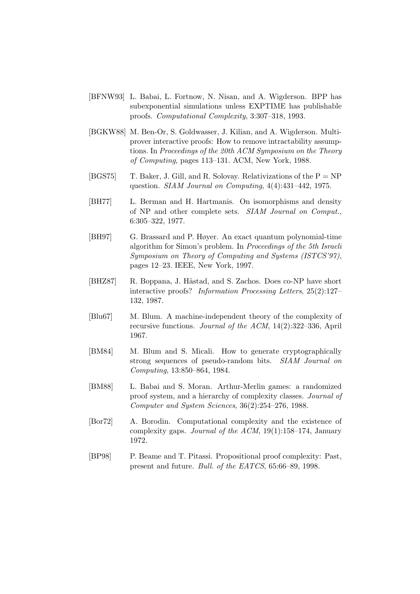- [BFNW93] L. Babai, L. Fortnow, N. Nisan, and A. Wigderson. BPP has subexponential simulations unless EXPTIME has publishable proofs. Computational Complexity, 3:307–318, 1993.
- [BGKW88] M. Ben-Or, S. Goldwasser, J. Kilian, and A. Wigderson. Multiprover interactive proofs: How to remove intractability assumptions. In Proceedings of the 20th ACM Symposium on the Theory of Computing, pages 113–131. ACM, New York, 1988.
- [BGS75] T. Baker, J. Gill, and R. Solovay. Relativizations of the  $P = NP$ question. SIAM Journal on Computing, 4(4):431–442, 1975.
- [BH77] L. Berman and H. Hartmanis. On isomorphisms and density of NP and other complete sets. SIAM Journal on Comput., 6:305–322, 1977.
- [BH97] G. Brassard and P. Høyer. An exact quantum polynomial-time algorithm for Simon's problem. In Proceedings of the 5th Israeli Symposium on Theory of Computing and Systems (ISTCS'97), pages 12–23. IEEE, New York, 1997.
- [BHZ87] R. Boppana, J. Håstad, and S. Zachos. Does co-NP have short interactive proofs? Information Processing Letters, 25(2):127– 132, 1987.
- [Blu67] M. Blum. A machine-independent theory of the complexity of recursive functions. *Journal of the ACM*, 14(2):322–336, April 1967.
- [BM84] M. Blum and S. Micali. How to generate cryptographically strong sequences of pseudo-random bits. SIAM Journal on Computing, 13:850–864, 1984.
- [BM88] L. Babai and S. Moran. Arthur-Merlin games: a randomized proof system, and a hierarchy of complexity classes. Journal of Computer and System Sciences, 36(2):254–276, 1988.
- [Bor72] A. Borodin. Computational complexity and the existence of complexity gaps. Journal of the ACM, 19(1):158–174, January 1972.
- [BP98] P. Beame and T. Pitassi. Propositional proof complexity: Past, present and future. Bull. of the EATCS, 65:66–89, 1998.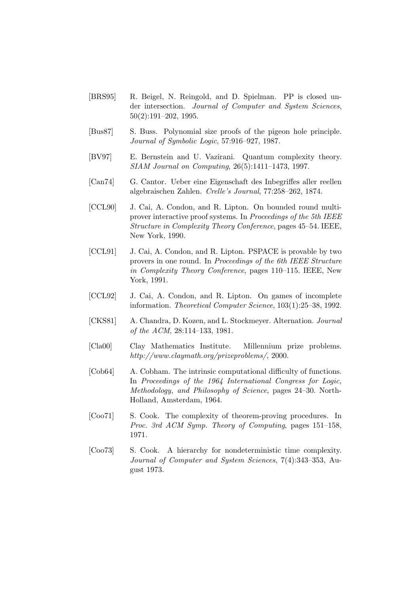- [BRS95] R. Beigel, N. Reingold, and D. Spielman. PP is closed under intersection. Journal of Computer and System Sciences, 50(2):191–202, 1995.
- [Bus87] S. Buss. Polynomial size proofs of the pigeon hole principle. Journal of Symbolic Logic, 57:916–927, 1987.
- [BV97] E. Bernstein and U. Vazirani. Quantum complexity theory. SIAM Journal on Computing, 26(5):1411–1473, 1997.
- [Can74] G. Cantor. Ueber eine Eigenschaft des Inbegriffes aller reellen algebraischen Zahlen. Crelle's Journal, 77:258–262, 1874.
- [CCL90] J. Cai, A. Condon, and R. Lipton. On bounded round multiprover interactive proof systems. In Proceedings of the 5th IEEE Structure in Complexity Theory Conference, pages 45–54. IEEE, New York, 1990.
- [CCL91] J. Cai, A. Condon, and R. Lipton. PSPACE is provable by two provers in one round. In Proceedings of the 6th IEEE Structure in Complexity Theory Conference, pages 110–115. IEEE, New York, 1991.
- [CCL92] J. Cai, A. Condon, and R. Lipton. On games of incomplete information. Theoretical Computer Science, 103(1):25–38, 1992.
- [CKS81] A. Chandra, D. Kozen, and L. Stockmeyer. Alternation. Journal of the ACM, 28:114–133, 1981.
- [Cla00] Clay Mathematics Institute. Millennium prize problems. http://www.claymath.org/prizeproblems/, 2000.
- [Cob64] A. Cobham. The intrinsic computational difficulty of functions. In Proceedings of the 1964 International Congress for Logic, Methodology, and Philosophy of Science, pages 24–30. North-Holland, Amsterdam, 1964.
- [Coo71] S. Cook. The complexity of theorem-proving procedures. In Proc. 3rd ACM Symp. Theory of Computing, pages 151–158, 1971.
- [Coo73] S. Cook. A hierarchy for nondeterministic time complexity. Journal of Computer and System Sciences, 7(4):343–353, August 1973.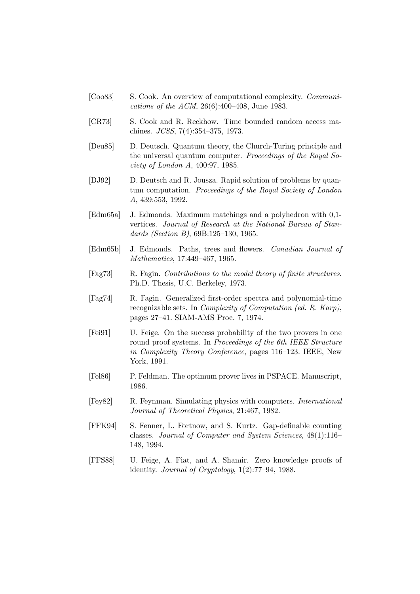- [Coo83] S. Cook. An overview of computational complexity. Communications of the ACM, 26(6):400–408, June 1983.
- [CR73] S. Cook and R. Reckhow. Time bounded random access machines. JCSS, 7(4):354–375, 1973.
- [Deu85] D. Deutsch. Quantum theory, the Church-Turing principle and the universal quantum computer. Proceedings of the Royal Society of London A, 400:97, 1985.
- [DJ92] D. Deutsch and R. Jousza. Rapid solution of problems by quantum computation. Proceedings of the Royal Society of London A, 439:553, 1992.
- [Edm65a] J. Edmonds. Maximum matchings and a polyhedron with 0,1 vertices. Journal of Research at the National Bureau of Standards (Section B), 69B:125–130, 1965.
- [Edm65b] J. Edmonds. Paths, trees and flowers. Canadian Journal of Mathematics, 17:449–467, 1965.
- [Fag73] R. Fagin. Contributions to the model theory of finite structures. Ph.D. Thesis, U.C. Berkeley, 1973.
- [Fag74] R. Fagin. Generalized first-order spectra and polynomial-time recognizable sets. In *Complexity of Computation (ed. R. Karp)*, pages 27–41. SIAM-AMS Proc. 7, 1974.
- [Fei91] U. Feige. On the success probability of the two provers in one round proof systems. In Proceedings of the 6th IEEE Structure in Complexity Theory Conference, pages 116–123. IEEE, New York, 1991.
- [Fel86] P. Feldman. The optimum prover lives in PSPACE. Manuscript, 1986.
- [Fey82] R. Feynman. Simulating physics with computers. International Journal of Theoretical Physics, 21:467, 1982.
- [FFK94] S. Fenner, L. Fortnow, and S. Kurtz. Gap-definable counting classes. Journal of Computer and System Sciences, 48(1):116– 148, 1994.
- [FFS88] U. Feige, A. Fiat, and A. Shamir. Zero knowledge proofs of identity. Journal of Cryptology,  $1(2)$ :77-94, 1988.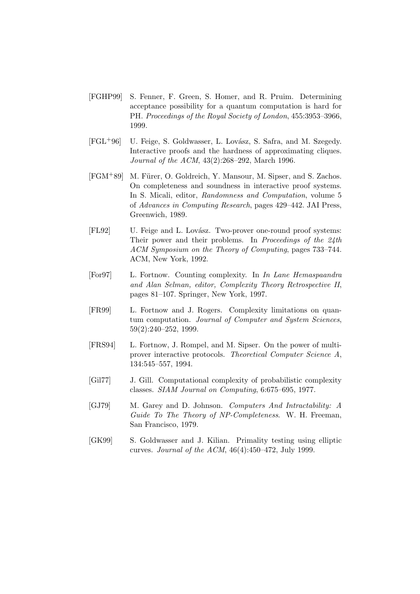- [FGHP99] S. Fenner, F. Green, S. Homer, and R. Pruim. Determining acceptance possibility for a quantum computation is hard for PH. Proceedings of the Royal Society of London, 455:3953–3966, 1999.
- $[FGL+96]$  U. Feige, S. Goldwasser, L. Lovász, S. Safra, and M. Szegedy. Interactive proofs and the hardness of approximating cliques. Journal of the ACM, 43(2):268–292, March 1996.
- [FGM<sup>+</sup>89] M. Fürer, O. Goldreich, Y. Mansour, M. Sipser, and S. Zachos. On completeness and soundness in interactive proof systems. In S. Micali, editor, Randomness and Computation, volume 5 of Advances in Computing Research, pages 429–442. JAI Press, Greenwich, 1989.
- [FL92] U. Feige and L. Lovász. Two-prover one-round proof systems: Their power and their problems. In Proceedings of the 24th ACM Symposium on the Theory of Computing, pages 733–744. ACM, New York, 1992.
- [For97] L. Fortnow. Counting complexity. In In Lane Hemaspaandra and Alan Selman, editor, Complexity Theory Retrospective II, pages 81–107. Springer, New York, 1997.
- [FR99] L. Fortnow and J. Rogers. Complexity limitations on quantum computation. Journal of Computer and System Sciences, 59(2):240–252, 1999.
- [FRS94] L. Fortnow, J. Rompel, and M. Sipser. On the power of multiprover interactive protocols. Theoretical Computer Science A, 134:545–557, 1994.
- [Gil77] J. Gill. Computational complexity of probabilistic complexity classes. SIAM Journal on Computing, 6:675–695, 1977.
- [GJ79] M. Garey and D. Johnson. Computers And Intractability: A Guide To The Theory of NP-Completeness. W. H. Freeman, San Francisco, 1979.
- [GK99] S. Goldwasser and J. Kilian. Primality testing using elliptic curves. Journal of the ACM, 46(4):450–472, July 1999.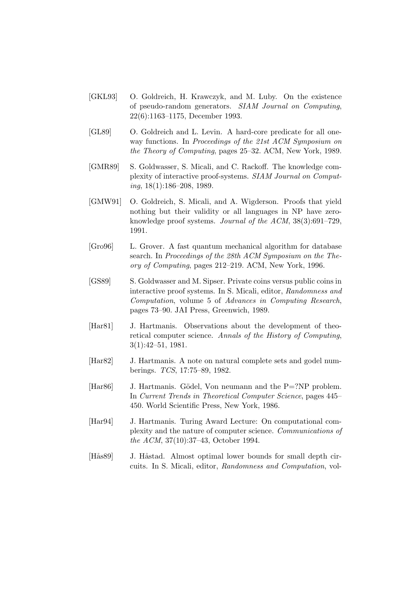- [GKL93] O. Goldreich, H. Krawczyk, and M. Luby. On the existence of pseudo-random generators. SIAM Journal on Computing, 22(6):1163–1175, December 1993.
- [GL89] O. Goldreich and L. Levin. A hard-core predicate for all oneway functions. In Proceedings of the 21st ACM Symposium on the Theory of Computing, pages 25–32. ACM, New York, 1989.
- [GMR89] S. Goldwasser, S. Micali, and C. Rackoff. The knowledge complexity of interactive proof-systems. SIAM Journal on Comput $ing, 18(1):186-208, 1989.$
- [GMW91] O. Goldreich, S. Micali, and A. Wigderson. Proofs that yield nothing but their validity or all languages in NP have zeroknowledge proof systems. Journal of the ACM, 38(3):691–729, 1991.
- [Gro96] L. Grover. A fast quantum mechanical algorithm for database search. In Proceedings of the 28th ACM Symposium on the Theory of Computing, pages 212–219. ACM, New York, 1996.
- [GS89] S. Goldwasser and M. Sipser. Private coins versus public coins in interactive proof systems. In S. Micali, editor, Randomness and Computation, volume 5 of Advances in Computing Research, pages 73–90. JAI Press, Greenwich, 1989.
- [Har81] J. Hartmanis. Observations about the development of theoretical computer science. Annals of the History of Computing, 3(1):42–51, 1981.
- [Har82] J. Hartmanis. A note on natural complete sets and godel numberings. TCS, 17:75–89, 1982.
- [Har $86$ ] J. Hartmanis. Gödel, Von neumann and the P=?NP problem. In Current Trends in Theoretical Computer Science, pages 445– 450. World Scientific Press, New York, 1986.
- [Har94] J. Hartmanis. Turing Award Lecture: On computational complexity and the nature of computer science. Communications of the ACM, 37(10):37–43, October 1994.
- [Hås89] J. Håstad. Almost optimal lower bounds for small depth circuits. In S. Micali, editor, Randomness and Computation, vol-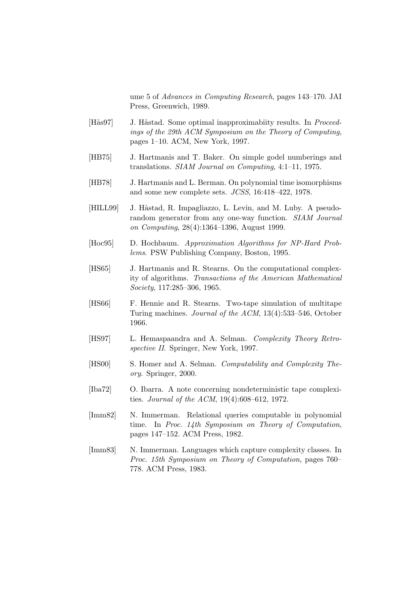ume 5 of Advances in Computing Research, pages 143–170. JAI Press, Greenwich, 1989.

- [Hås97] J. Håstad. Some optimal inapproximabiity results. In *Proceed*ings of the 29th ACM Symposium on the Theory of Computing, pages 1–10. ACM, New York, 1997.
- [HB75] J. Hartmanis and T. Baker. On simple godel numberings and translations. SIAM Journal on Computing, 4:1–11, 1975.
- [HB78] J. Hartmanis and L. Berman. On polynomial time isomorphisms and some new complete sets. JCSS, 16:418–422, 1978.
- [HILL99] J. Håstad, R. Impagliazzo, L. Levin, and M. Luby. A pseudorandom generator from any one-way function. SIAM Journal on Computing, 28(4):1364–1396, August 1999.
- [Hoc95] D. Hochbaum. Approximation Algorithms for NP-Hard Problems. PSW Publishing Company, Boston, 1995.
- [HS65] J. Hartmanis and R. Stearns. On the computational complexity of algorithms. Transactions of the American Mathematical Society, 117:285–306, 1965.
- [HS66] F. Hennie and R. Stearns. Two-tape simulation of multitape Turing machines. Journal of the ACM, 13(4):533–546, October 1966.
- [HS97] L. Hemaspaandra and A. Selman. Complexity Theory Retrospective II. Springer, New York, 1997.
- [HS00] S. Homer and A. Selman. Computability and Complexity Theory. Springer, 2000.
- [Iba72] O. Ibarra. A note concerning nondeterministic tape complexities. *Journal of the ACM*,  $19(4):608-612$ ,  $1972$ .
- [Imm82] N. Immerman. Relational queries computable in polynomial time. In Proc. 14th Symposium on Theory of Computation, pages 147–152. ACM Press, 1982.
- [Imm83] N. Immerman. Languages which capture complexity classes. In Proc. 15th Symposium on Theory of Computation, pages 760– 778. ACM Press, 1983.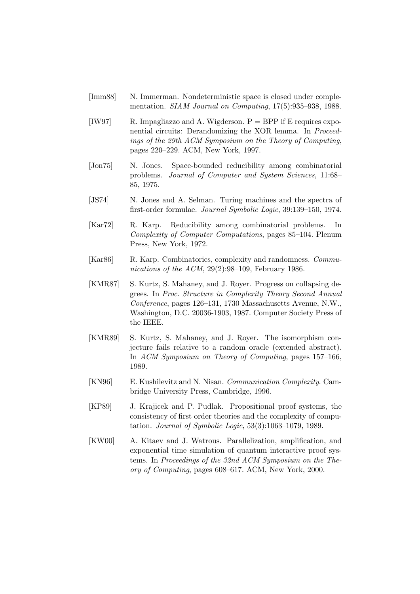- [Imm88] N. Immerman. Nondeterministic space is closed under complementation. SIAM Journal on Computing, 17(5):935–938, 1988.
- [IW97] R. Impagliazzo and A. Wigderson.  $P = BPP$  if E requires exponential circuits: Derandomizing the XOR lemma. In Proceedings of the 29th ACM Symposium on the Theory of Computing, pages 220–229. ACM, New York, 1997.
- [Jon75] N. Jones. Space-bounded reducibility among combinatorial problems. Journal of Computer and System Sciences, 11:68– 85, 1975.
- [JS74] N. Jones and A. Selman. Turing machines and the spectra of first-order formulae. Journal Symbolic Logic, 39:139–150, 1974.
- [Kar72] R. Karp. Reducibility among combinatorial problems. In Complexity of Computer Computations, pages 85–104. Plenum Press, New York, 1972.
- [Kar86] R. Karp. Combinatorics, complexity and randomness. Communications of the ACM,  $29(2):98-109$ , February 1986.
- [KMR87] S. Kurtz, S. Mahaney, and J. Royer. Progress on collapsing degrees. In Proc. Structure in Complexity Theory Second Annual Conference, pages 126–131, 1730 Massachusetts Avenue, N.W., Washington, D.C. 20036-1903, 1987. Computer Society Press of the IEEE.
- [KMR89] S. Kurtz, S. Mahaney, and J. Royer. The isomorphism conjecture fails relative to a random oracle (extended abstract). In ACM Symposium on Theory of Computing, pages 157–166, 1989.
- [KN96] E. Kushilevitz and N. Nisan. Communication Complexity. Cambridge University Press, Cambridge, 1996.
- [KP89] J. Krajicek and P. Pudlak. Propositional proof systems, the consistency of first order theories and the complexity of computation. Journal of Symbolic Logic, 53(3):1063–1079, 1989.
- [KW00] A. Kitaev and J. Watrous. Parallelization, amplification, and exponential time simulation of quantum interactive proof systems. In Proceedings of the 32nd ACM Symposium on the Theory of Computing, pages 608–617. ACM, New York, 2000.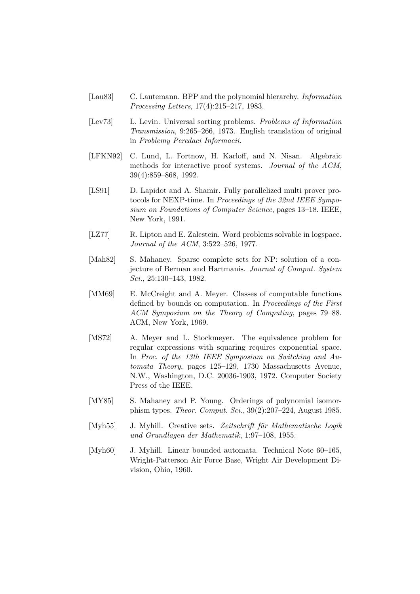- [Lau83] C. Lautemann. BPP and the polynomial hierarchy. Information Processing Letters, 17(4):215–217, 1983.
- [Lev73] L. Levin. Universal sorting problems. Problems of Information Transmission, 9:265–266, 1973. English translation of original in Problemy Peredaci Informacii.
- [LFKN92] C. Lund, L. Fortnow, H. Karloff, and N. Nisan. Algebraic methods for interactive proof systems. Journal of the ACM, 39(4):859–868, 1992.
- [LS91] D. Lapidot and A. Shamir. Fully parallelized multi prover protocols for NEXP-time. In Proceedings of the 32nd IEEE Symposium on Foundations of Computer Science, pages 13–18. IEEE, New York, 1991.
- [LZ77] R. Lipton and E. Zalcstein. Word problems solvable in logspace. Journal of the ACM, 3:522–526, 1977.
- [Mah82] S. Mahaney. Sparse complete sets for NP: solution of a conjecture of Berman and Hartmanis. Journal of Comput. System Sci., 25:130–143, 1982.
- [MM69] E. McCreight and A. Meyer. Classes of computable functions defined by bounds on computation. In Proceedings of the First ACM Symposium on the Theory of Computing, pages 79–88. ACM, New York, 1969.
- [MS72] A. Meyer and L. Stockmeyer. The equivalence problem for regular expressions with squaring requires exponential space. In Proc. of the 13th IEEE Symposium on Switching and Automata Theory, pages 125–129, 1730 Massachusetts Avenue, N.W., Washington, D.C. 20036-1903, 1972. Computer Society Press of the IEEE.
- [MY85] S. Mahaney and P. Young. Orderings of polynomial isomorphism types. Theor. Comput. Sci., 39(2):207–224, August 1985.
- [Myh55] J. Myhill. Creative sets. Zeitschrift für Mathematische Logik und Grundlagen der Mathematik, 1:97–108, 1955.
- [Myh60] J. Myhill. Linear bounded automata. Technical Note 60–165, Wright-Patterson Air Force Base, Wright Air Development Division, Ohio, 1960.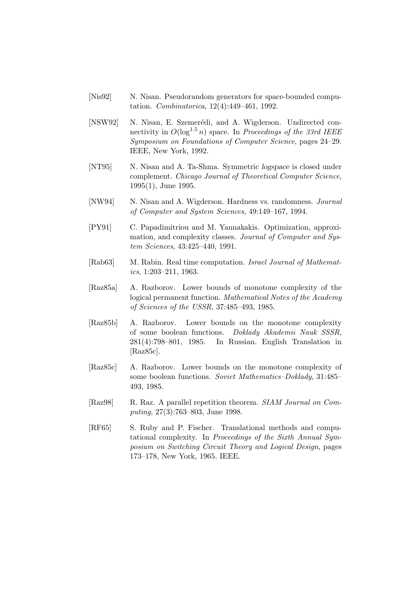- [Nis92] N. Nisan. Pseudorandom generators for space-bounded computation. Combinatorica, 12(4):449–461, 1992.
- [NSW92] N. Nisan, E. Szemerédi, and A. Wigderson. Undirected connectivity in  $O(\log^{1.5} n)$  space. In Proceedings of the 33rd IEEE Symposium on Foundations of Computer Science, pages 24–29. IEEE, New York, 1992.
- [NT95] N. Nisan and A. Ta-Shma. Symmetric logspace is closed under complement. Chicago Journal of Theoretical Computer Science, 1995(1), June 1995.
- [NW94] N. Nisan and A. Wigderson. Hardness vs. randomness. *Journal* of Computer and System Sciences, 49:149–167, 1994.
- [PY91] C. Papadimitriou and M. Yannakakis. Optimization, approximation, and complexity classes. Journal of Computer and System Sciences, 43:425–440, 1991.
- [Rab63] M. Rabin. Real time computation. Israel Journal of Mathematics, 1:203–211, 1963.
- [Raz85a] A. Razborov. Lower bounds of monotone complexity of the logical permanent function. Mathematical Notes of the Academy of Sciences of the USSR, 37:485–493, 1985.
- [Raz85b] A. Razborov. Lower bounds on the monotone complexity of some boolean functions. Doklady Akademii Nauk SSSR, 281(4):798–801, 1985. In Russian. English Translation in [Raz85c].
- [Raz85c] A. Razborov. Lower bounds on the monotone complexity of some boolean functions. Soviet Mathematics–Doklady, 31:485– 493, 1985.
- [Raz98] R. Raz. A parallel repetition theorem. SIAM Journal on Computing, 27(3):763–803, June 1998.
- [RF65] S. Ruby and P. Fischer. Translational methods and computational complexity. In Proceedings of the Sixth Annual Sumposium on Switching Circuit Theory and Logical Design, pages 173–178, New York, 1965. IEEE.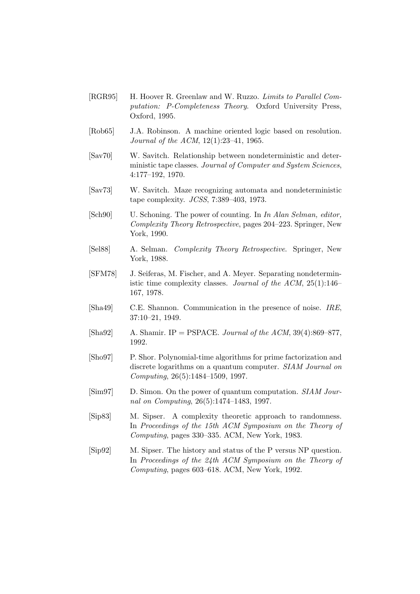- [RGR95] H. Hoover R. Greenlaw and W. Ruzzo. Limits to Parallel Computation: P-Completeness Theory. Oxford University Press, Oxford, 1995.
- [Rob65] J.A. Robinson. A machine oriented logic based on resolution. Journal of the ACM, 12(1):23–41, 1965.
- [Sav70] W. Savitch. Relationship between nondeterministic and deterministic tape classes. Journal of Computer and System Sciences, 4:177–192, 1970.
- [Sav73] W. Savitch. Maze recognizing automata and nondeterministic tape complexity. JCSS, 7:389–403, 1973.
- [Sch90] U. Schoning. The power of counting. In In Alan Selman, editor, Complexity Theory Retrospective, pages 204–223. Springer, New York, 1990.
- [Sel88] A. Selman. Complexity Theory Retrospective. Springer, New York, 1988.
- [SFM78] J. Seiferas, M. Fischer, and A. Meyer. Separating nondeterministic time complexity classes. Journal of the ACM, 25(1):146– 167, 1978.
- [Sha49] C.E. Shannon. Communication in the presence of noise. IRE, 37:10–21, 1949.
- [Sha92] A. Shamir. IP = PSPACE. Journal of the ACM, 39(4):869–877, 1992.
- [Sho97] P. Shor. Polynomial-time algorithms for prime factorization and discrete logarithms on a quantum computer. SIAM Journal on Computing, 26(5):1484–1509, 1997.
- [Sim97] D. Simon. On the power of quantum computation. SIAM Journal on Computing, 26(5):1474–1483, 1997.
- [Sip83] M. Sipser. A complexity theoretic approach to randomness. In Proceedings of the 15th ACM Symposium on the Theory of Computing, pages 330–335. ACM, New York, 1983.
- [Sip92] M. Sipser. The history and status of the P versus NP question. In Proceedings of the 24th ACM Symposium on the Theory of Computing, pages 603–618. ACM, New York, 1992.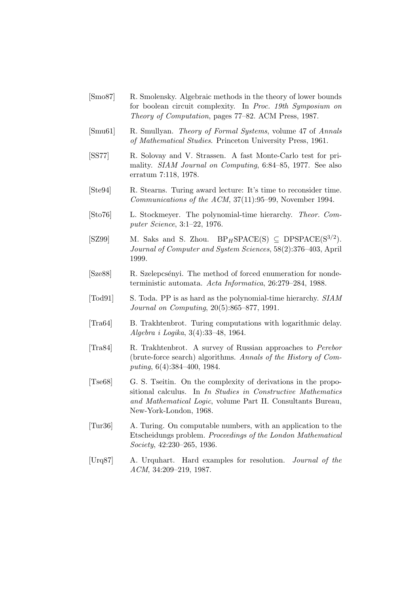- [Smo87] R. Smolensky. Algebraic methods in the theory of lower bounds for boolean circuit complexity. In Proc. 19th Symposium on Theory of Computation, pages 77–82. ACM Press, 1987.
- [Smu61] R. Smullyan. Theory of Formal Systems, volume 47 of Annals of Mathematical Studies. Princeton University Press, 1961.
- [SS77] R. Solovay and V. Strassen. A fast Monte-Carlo test for primality. SIAM Journal on Computing, 6:84–85, 1977. See also erratum 7:118, 1978.
- [Ste94] R. Stearns. Turing award lecture: It's time to reconsider time. Communications of the ACM, 37(11):95–99, November 1994.
- [Sto76] L. Stockmeyer. The polynomial-time hierarchy. Theor. Computer Science, 3:1–22, 1976.
- [SZ99] M. Saks and S. Zhou. BP<sub>H</sub>SPACE(S)  $\subseteq$  DPSPACE(S<sup>3/2</sup>). Journal of Computer and System Sciences, 58(2):376–403, April 1999.
- [Sze88] R. Szelepcsényi. The method of forced enumeration for nondeterministic automata. Acta Informatica, 26:279–284, 1988.
- [Tod91] S. Toda. PP is as hard as the polynomial-time hierarchy. SIAM Journal on Computing, 20(5):865–877, 1991.
- [Tra64] B. Trakhtenbrot. Turing computations with logarithmic delay. Algebra i Logika, 3(4):33–48, 1964.
- [Tra84] R. Trakhtenbrot. A survey of Russian approaches to Perebor (brute-force search) algorithms. Annals of the History of Computing, 6(4):384–400, 1984.
- [Tse68] G. S. Tseitin. On the complexity of derivations in the propositional calculus. In In Studies in Constructive Mathematics and Mathematical Logic, volume Part II. Consultants Bureau, New-York-London, 1968.
- [Tur36] A. Turing. On computable numbers, with an application to the Etscheidungs problem. Proceedings of the London Mathematical Society, 42:230–265, 1936.
- [Urq87] A. Urquhart. Hard examples for resolution. Journal of the ACM, 34:209–219, 1987.